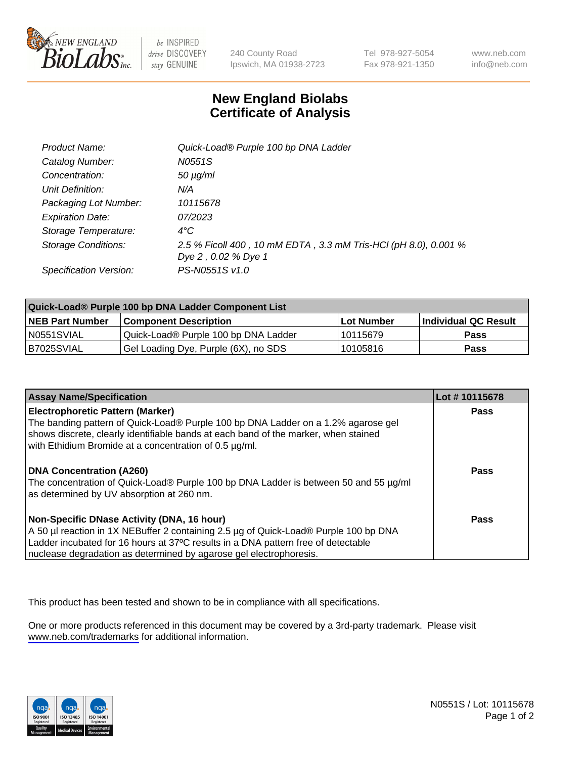

be INSPIRED drive DISCOVERY stay GENUINE

240 County Road Ipswich, MA 01938-2723 Tel 978-927-5054 Fax 978-921-1350

www.neb.com info@neb.com

## **New England Biolabs Certificate of Analysis**

| Product Name:           | Quick-Load® Purple 100 bp DNA Ladder                            |
|-------------------------|-----------------------------------------------------------------|
| Catalog Number:         | N0551S                                                          |
| Concentration:          | $50 \mu g/ml$                                                   |
| Unit Definition:        | N/A                                                             |
| Packaging Lot Number:   | 10115678                                                        |
| <b>Expiration Date:</b> | 07/2023                                                         |
| Storage Temperature:    | $4^{\circ}$ C                                                   |
| Storage Conditions:     | 2.5 % Ficoll 400, 10 mM EDTA, 3.3 mM Tris-HCl (pH 8.0), 0.001 % |
|                         | Dye 2, 0.02 % Dye 1                                             |
| Specification Version:  | PS-N0551S v1.0                                                  |

| Quick-Load® Purple 100 bp DNA Ladder Component List |                                      |              |                      |  |
|-----------------------------------------------------|--------------------------------------|--------------|----------------------|--|
| <b>NEB Part Number</b>                              | <b>Component Description</b>         | l Lot Number | Individual QC Result |  |
| N0551SVIAL                                          | Quick-Load® Purple 100 bp DNA Ladder | l 10115679   | <b>Pass</b>          |  |
| B7025SVIAL                                          | Gel Loading Dye, Purple (6X), no SDS | 10105816     | <b>Pass</b>          |  |

| <b>Assay Name/Specification</b>                                                                                                                                                                                                                                                               | Lot #10115678 |
|-----------------------------------------------------------------------------------------------------------------------------------------------------------------------------------------------------------------------------------------------------------------------------------------------|---------------|
| <b>Electrophoretic Pattern (Marker)</b><br>The banding pattern of Quick-Load® Purple 100 bp DNA Ladder on a 1.2% agarose gel<br>shows discrete, clearly identifiable bands at each band of the marker, when stained<br>with Ethidium Bromide at a concentration of 0.5 µg/ml.                 | <b>Pass</b>   |
| <b>DNA Concentration (A260)</b><br>The concentration of Quick-Load® Purple 100 bp DNA Ladder is between 50 and 55 µg/ml<br>as determined by UV absorption at 260 nm.                                                                                                                          | Pass          |
| Non-Specific DNase Activity (DNA, 16 hour)<br>A 50 µl reaction in 1X NEBuffer 2 containing 2.5 µg of Quick-Load® Purple 100 bp DNA<br>Ladder incubated for 16 hours at 37°C results in a DNA pattern free of detectable<br>nuclease degradation as determined by agarose gel electrophoresis. | Pass          |

This product has been tested and shown to be in compliance with all specifications.

One or more products referenced in this document may be covered by a 3rd-party trademark. Please visit <www.neb.com/trademarks>for additional information.